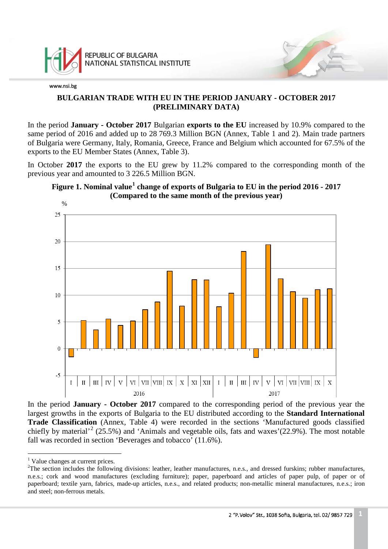

## **BULGARIAN TRADE WITH EU IN THE PERIOD JANUARY - OCTOBER 2017 (PRELIMINARY DATA)**

In the period **January - October 2017** Bulgarian **exports to the EU** increased by 10.9% compared to the same period of 2016 and added up to 28 769.3 Million BGN (Annex, Table 1 and 2). Main trade partners of Bulgaria were Germany, Italy, Romania, Greece, France and Belgium which accounted for 67.5% of the exports to the EU Member States (Annex, Table 3).

In October **2017** the exports to the EU grew by 11.2% compared to the corresponding month of the previous year and amounted to 3 226.5 Million BGN.





In the period **January - October 2017** compared to the corresponding period of the previous year the largest growths in the exports of Bulgaria to the EU distributed according to the **Standard International Trade Classification** (Annex, Table 4) were recorded in the sections 'Manufactured goods classified chiefly by material<sup>[2](#page-0-1)</sup> (25.5%) and 'Animals and vegetable oils, fats and waxes'(22.9%). The most notable fall was recorded in section 'Beverages and tobacco' (11.6%).

<sup>&</sup>lt;sup>1</sup> Value changes at current prices.  $\overline{a}$ 

<span id="page-0-1"></span><span id="page-0-0"></span> $2^2$ The section includes the following divisions: leather, leather manufactures, n.e.s., and dressed furskins; rubber manufactures, n.e.s.; cork and wood manufactures (excluding furniture); paper, paperboard and articles of paper pulp, of paper or of paperboard; textile yarn, fabrics, made-up articles, n.e.s., and related products; non-metallic mineral manufactures, n.e.s.; iron and steel; non-ferrous metals.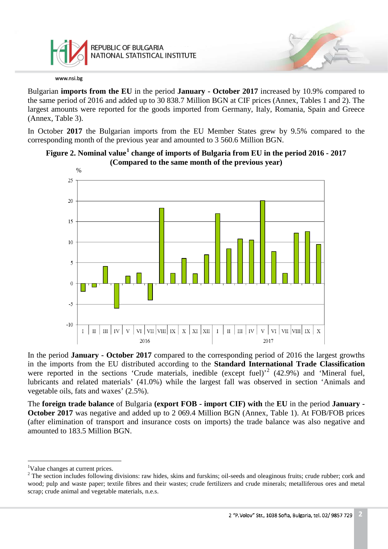

Bulgarian **imports from the EU** in the period **January - October 2017** increased by 10.9% compared to the same period of 2016 and added up to 30 838.7 Million BGN at CIF prices (Annex, Tables 1 and 2). The largest amounts were reported for the goods imported from Germany, Italy, Romania, Spain and Greece (Annex, Table 3).

In October **2017** the Bulgarian imports from the EU Member States grew by 9.5% compared to the corresponding month of the previous year and amounted to 3 560.6 Million BGN.





In the period **January - October 2017** compared to the corresponding period of 2016 the largest growths in the imports from the EU distributed according to the **Standard International Trade Classification** were reported in the sections 'Crude materials, inedible (except fuel)'<sup>[2](#page-1-1)</sup> (42.9%) and 'Mineral fuel, lubricants and related materials' (41.0%) while the largest fall was observed in section 'Animals and vegetable oils, fats and waxes' (2.5%).

The **foreign trade balance** of Bulgaria **(export FOB - import CIF) with** the **EU** in the period **January - October 2017** was negative and added up to 2 069.4 Million BGN (Annex, Table 1). At FOB/FOB prices (after elimination of transport and insurance costs on imports) the trade balance was also negative and amounted to 183.5 Million BGN.

<sup>&</sup>lt;sup>1</sup>Value changes at current prices.  $\frac{1}{1}$ 

<span id="page-1-1"></span><span id="page-1-0"></span><sup>&</sup>lt;sup>2</sup> The section includes following divisions: raw hides, skins and furskins; oil-seeds and oleaginous fruits; crude rubber; cork and wood; pulp and waste paper; textile fibres and their wastes; crude fertilizers and crude minerals; metalliferous ores and metal scrap; crude animal and vegetable materials, n.e.s.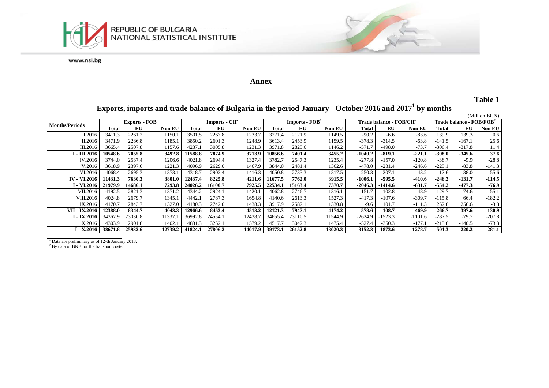

#### **Annex**

## **Table 1**

# **Exports, imports and trade balance of Bulgaria in the period January - October 2016 and 20171 by months**

|                       |                      |         |               |                      |         |         |                                    |         |         |                                |           |           |                                            |          | (Million BGN) |
|-----------------------|----------------------|---------|---------------|----------------------|---------|---------|------------------------------------|---------|---------|--------------------------------|-----------|-----------|--------------------------------------------|----------|---------------|
| <b>Months/Periods</b> | <b>Exports - FOB</b> |         |               | <b>Imports - CIF</b> |         |         | <b>Imports - <math>FOB2</math></b> |         |         | <b>Trade balance - FOB/CIF</b> |           |           | <b>Trade balance - FOB/FOB<sup>2</sup></b> |          |               |
|                       | Total                | EU      | <b>Non EU</b> | Total                | EU      | Non EU  | Total                              | EU      | Non EU  | Total                          | EU        | Non EU    | Total                                      | EU       | Non EU        |
| I.2016                | 3411.3               | 2261.2  | 1150.1        | 3501.5               | 2267.8  | 1233.7  | 3271.4                             | 2121.9  | 149.5   | $-90.2$                        | $-6.6$    | $-83.6$   | 139.9                                      | 139.3    | 0.6           |
| II.2016               | 3471.9               | 2286.8  | 1185.         | 3850.2               | 2601.3  | 1248.9  | 3613.4                             | 2453.9  | 1159.5  | $-378.3$                       | $-314.5$  | $-63.8$   | $-141.5$                                   | $-167.1$ | 25.6          |
| III.2016              | 3665.4               | 2507.8  | 1157.6        | 4237.                | 3005.8  | 1231.3  | 3971.8                             | 2825.6  | 146.2   | $-571.7$                       | $-498.0$  | $-73.7$   | -306.4                                     | $-317.8$ | 11.4          |
| І - III.2016          | 10548.6              | 7055.8  | 3492.8        | 11588.8              | 7874.9  | 3713.9  | 10856.6                            | 7401.4  | 3455.2  | $-1040.2$                      | $-819.1$  | $-221.1$  | $-308.0$                                   | $-345.6$ | 37.6          |
| IV.2016               | 3744.0               | 2537.4  | 1206.6        | 4021.8               | 2694.4  | 1327.4  | 3782.7                             | 2547.3  | 1235.4  | $-277.8$                       | $-157.0$  | $-120.8$  | $-38.7$                                    | $-9.9$   | $-28.8$       |
| V.2016                | 3618.9               | 2397.6  | 1221.3        | 4096.9               | 2629.0  | 1467.9  | 3844.0                             | 2481.4  | 1362.6  | $-478.0$                       | $-231.4$  | $-246.6$  | -225.1                                     | $-83.8$  | $-141.3$      |
| VI.2016               | 4068.4               | 2695.3  | 1373.         | 4318.7               | 2902.4  | 1416.3  | 4050.8                             | 2733.3  | 1317.5  | $-250.3$                       | $-207.1$  | $-43.2$   | 17.6                                       | $-38.0$  | 55.6          |
| <b>IV - VI.2016</b>   | 11431.3              | 7630.3  | 3801.0        | 12437.4              | 8225.8  | 4211.6  | 1677.5                             | 7762.0  | 3915.5  | -1006.1                        | $-595.5$  | -410.6    | $-246.2$                                   | -131.7   | $-114.5$      |
| I - VI.2016           | 21979.9              | 14686.1 | 7293.8        | 24026.2              | 16100.7 | 7925.5  | 22534.1                            | 15163.4 | 7370.7  | $-2046.3$                      | -1414.6   | $-631.7$  | $-554.2$                                   | $-477.3$ | -76.9         |
| VII.2016              | 4192.5               | 2821.3  | 1371.2        | 4344.2               | 2924.1  | 1420.   | 4062.8                             | 2746.7  | 1316.1  | $-151.7$                       | $-102.8$  | $-48.9$   | 129.7                                      | 74.6     | 55.1          |
| VIII.2016             | 4024.8               | 2679.7  | 1345.1        | 4442.                | 2787.3  | 1654.8  | 4140.6                             | 2613.3  | 1527.3  | $-417.3$                       | $-107.6$  | $-309.7$  | $-115.8$                                   | 66.4     | $-182.2$      |
| IX.2016               | 4170.7               | 2843.7  | 1327.0        | 4180.3               | 2742.0  | 1438.3  | 3917.9                             | 2587.1  | 1330.8  | $-9.6$                         | 101.7     | $-111.3$  | 252.8                                      | 256.6    | $-3.8$        |
| <b>VII - IX.2016</b>  | 12388.0              | 8344.7  | 4043.3        | 12966.6              | 8453.4  | 4513.2  | 12121.3                            | 7947.1  | 4174.2  | $-578.6$                       | $-108.7$  | $-469.9$  | 266.7                                      | 397.6    | $-130.9$      |
| I - IX.2016           | 34367.9              | 23030.8 | 11337         | 36992.8              | 24554.1 | 12438.7 | 34655.4                            | 23110.5 | 11544.9 | $-2624.9$                      | $-1523.3$ | $-1101.6$ | $-287.5$                                   | $-79.7$  | $-207.8$      |
| X.2016                | 4303.9               | 2901.8  | 1402.1        | 4831.3               | 3252.1  | 1579.2  | 4517.7                             | 3042.3  | 1475.4  | $-527.4$                       | $-350.3$  | $-177.1$  | $-213.8$                                   | $-140.5$ | $-73.3$       |
| I - X.2016            | 38671.8              | 25932.6 | 12739.2       | 41824.1              | 27806.2 | 14017.9 | 39173.1                            | 26152.8 | 13020.3 | $-3152.3$                      | $-1873.6$ | $-1278.7$ | $-501.3$                                   | $-220.2$ | $-281.1$      |

<sup>1</sup> Data are preliminary as of 12-th January 2018.

<sup>2</sup> By data of BNB for the transport costs.

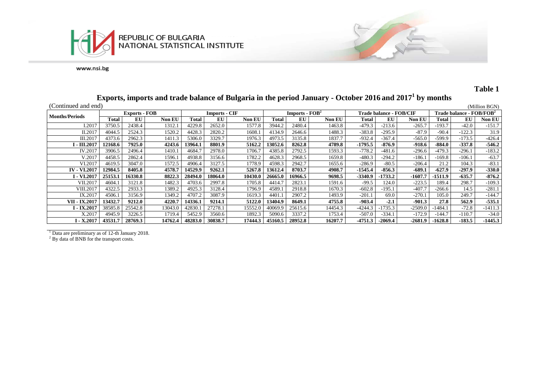



## **Table 1**

# **Exports, imports and trade balance of Bulgaria in the period January - October 2016 and 20171 by months**

| (Continued and end)   |         |                                              |         |         |         |               |                  |         |         |                                |           |               |                                      |          | (Million BGN) |
|-----------------------|---------|----------------------------------------------|---------|---------|---------|---------------|------------------|---------|---------|--------------------------------|-----------|---------------|--------------------------------------|----------|---------------|
| <b>Months/Periods</b> |         | <b>Imports - CIF</b><br><b>Exports - FOB</b> |         |         |         |               | Imports - $FOB2$ |         |         | <b>Trade balance - FOB/CIF</b> |           |               | Trade balance - FOB/FOB <sup>2</sup> |          |               |
|                       | Total   | EU                                           | Non EU  | Total   | EU      | <b>Non EU</b> | Total            | EU      | Non EU  | Total                          | EU        | <b>Non EU</b> | Total                                | EU       | <b>Non EU</b> |
| I.2017                | 3750.5  | 2438.4                                       | 1312.1  | 4229.8  | 2652.0  | 1577.8        | 3944.2           | 2480.4  | 1463.8  | $-479.3$                       | $-213.6$  | $-265.7$      | -193.7                               | $-42.0$  | $-151.7$      |
| II.2017               | 4044.5  | 2524.3                                       | 1520.2  | 4428.3  | 2820.2  | 1608.         | 4134.9           | 2646.6  | 1488.3  | $-383.8$                       | $-295.9$  | $-87.9$       | $-90.4$                              | $-122.3$ | 31.9          |
| III.2017              | 4373.6  | 2962.3                                       | 1411.3  | 5306.0  | 3329.7  | 1976.3        | 4973.5           | 3135.8  | 1837.7  | $-932.4$                       | $-367.4$  | $-565.0$      | $-599.9$                             | $-173.5$ | $-426.4$      |
| I - III.2017          | 12168.6 | 7925.0                                       | 4243.6  | 13964.1 | 8801.9  | 5162.2        | 13052.6          | 8262.8  | 4789.8  | $-1795.5$                      | $-876.9$  | $-918.6$      | $-884.0$                             | $-337.8$ | $-546.2$      |
| IV.2017               | 3906.5  | 2496.4                                       | 1410.1  | 4684.   | 2978.0  | 1706.7        | 4385.8           | 2792.5  | 1593.3  | $-778.2$                       | $-481.6$  | $-296.6$      | $-479.3$                             | $-296.1$ | $-183.2$      |
| V.2017                | 4458.5  | 2862.4                                       | 1596.1  | 4938.8  | 3156.6  | 1782.2        | 4628.3           | 2968.5  | 1659.8  | $-480.3$                       | $-294.2$  | $-186.1$      | $-169.8$                             | $-106.1$ | $-63.7$       |
| VI.2017               | 4619.5  | 3047.0                                       | 1572.5  | 4906.4  | 3127.5  | 1778.9        | 4598.3           | 2942.7  | 1655.6  | $-286.9$                       | $-80.5$   | -206.4        | 21.2                                 | 104.3    | $-83.1$       |
| <b>IV - VI.2017</b>   | 12984.5 | 8405.8                                       | 4578.7  | 14529.9 | 9262.1  | 5267.8        | 13612.4          | 8703.7  | 4908.7  | $-1545.4$                      | $-856.3$  | $-689.1$      | $-627.9$                             | $-297.9$ | $-330.0$      |
| I - VI.2017           | 25153.1 | 16330.8                                      | 8822.3  | 28494.0 | 18064.0 | 10430.0       | 26665.0          | 16966.5 | 9698.5  | $-3340.9$                      | $-1733.2$ | $-1607.7$     | $-1511.9$                            | $-635.7$ | $-876.2$      |
| VII.2017              | 4604.   | 3121.8                                       | 1482.3  | 4703.6  | 2997.8  | 1705.8        | 4414.7           | 2823.1  | 1591.6  | $-99.5$                        | 124.0     | $-223.5$      | 189.4                                | 298.7    | $-109.3$      |
| VIII.2017             | 4322.5  | 2933.3                                       | 1389.2  | 4925.   | 3128.4  | 1796.9        | 4589.1           | 2918.8  | 1670.3  | $-602.8$                       | $-195.1$  | $-407.7$      | $-266.6$                             | 14.5     | $-281.1$      |
| IX.2017               | 4506.1  | 3156.9                                       | 1349.2  | 4707.2  | 3087.9  | 1619.3        | 4401.1           | 2907.2  | 1493.9  | $-201.$                        | 69.0      | $-270.1$      | 105.0                                | 249.7    | $-144.7$      |
| VII - IX.2017         | 13432.7 | 9212.0                                       | 4220.7  | 14336.1 | 9214.1  | 5122.0        | 13404.9          | 8649.1  | 4755.8  | $-903.4$                       | $-2.1$    | $-901.3$      | 27.8                                 | 562.9    | $-535.1$      |
| I - IX.2017           | 38585.8 | 25542.8                                      | 13043.0 | 42830   | 27278.1 | 15552.0       | 40069.9          | 25615.6 | 14454.3 | -4244                          | $-1735.3$ | $-2509.0$     | $-1484.1$                            | $-72.8$  | -1411.3       |
| X.2017                | 4945.9  | 3226.5                                       | 1719.4  | 5452.9  | 3560.6  | 1892.3        | 5090.6           | 3337.2  | 1753.4  | $-507.0$                       | $-334.1$  | $-172.9$      | $-144.7$                             | $-110.7$ | $-34.0$       |
| I - X.2017            | 43531.7 | 28769.3                                      | 14762.4 | 48283.0 | 30838.7 | 17444.3       | 45160.5          | 28952.8 | 16207.7 | $-4751.3$                      | $-2069.4$ | $-2681.9$     | $-1628.8$                            | $-183.5$ | $-1445.3$     |

<sup>1</sup> Data are preliminary as of 12-th January 2018.

 $2^{2}$  By data of BNB for the transport costs.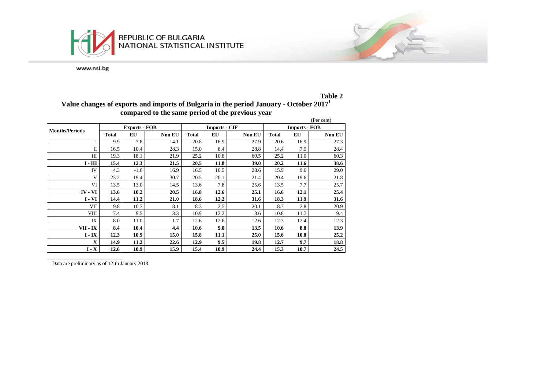



**Value changes of exports and imports of Bulgaria in the period January - October 2017<sup>1</sup> compared to the same period of the previous year**

 $1$  Data are preliminary as of 12-th January 2018.



**Table 2**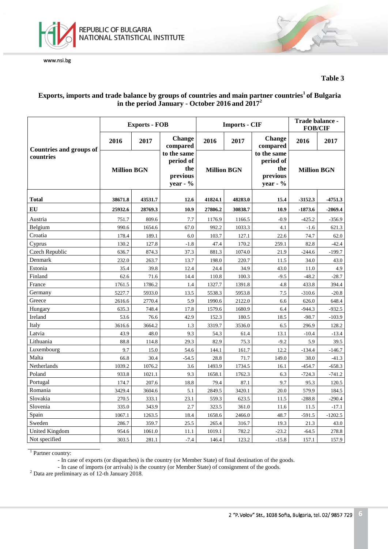

### **Table 3**

## **Exports, imports and trade balance by groups of countries and main partner countries1 of Bulgaria in the period January - October 2016 and 20172**

|                                |                    | <b>Exports - FOB</b> |                                                         |                                                          | <b>Imports - CIF</b> | Trade balance -<br><b>FOB/CIF</b>                       |                    |           |
|--------------------------------|--------------------|----------------------|---------------------------------------------------------|----------------------------------------------------------|----------------------|---------------------------------------------------------|--------------------|-----------|
| <b>Countries and groups of</b> | 2016               | 2017                 | <b>Change</b><br>compared                               | 2016<br>2017<br><b>Million BGN</b><br>41824.1<br>48283.0 |                      | <b>Change</b><br>compared                               | 2016               | 2017      |
| countries                      | <b>Million BGN</b> |                      | to the same<br>period of<br>the<br>previous<br>year - % |                                                          |                      | to the same<br>period of<br>the<br>previous<br>year - % | <b>Million BGN</b> |           |
| <b>Total</b>                   | 38671.8            | 43531.7              | 12.6                                                    |                                                          |                      | 15.4                                                    | $-3152.3$          | $-4751.3$ |
| EU                             | 25932.6            | 28769.3              | 10.9                                                    | 27806.2                                                  | 30838.7              | 10.9                                                    | $-1873.6$          | $-2069.4$ |
| Austria                        | 751.7              | 809.6                | 7.7                                                     | 1176.9                                                   | 1166.5               | $-0.9$                                                  | $-425.2$           | $-356.9$  |
| Belgium                        | 990.6              | 1654.6               | 67.0                                                    | 992.2                                                    | 1033.3               | 4.1                                                     | $-1.6$             | 621.3     |
| Croatia                        | 178.4              | 189.1                | 6.0                                                     | 103.7                                                    | 127.1                | 22.6                                                    | 74.7               | 62.0      |
| Cyprus                         | 130.2              | 127.8                | $-1.8$                                                  | 47.4                                                     | 170.2                | 259.1                                                   | 82.8               | $-42.4$   |
| Czech Republic                 | 636.7              | 874.3                | 37.3                                                    | 881.3                                                    | 1074.0               | 21.9                                                    | $-244.6$           | $-199.7$  |
| Denmark                        | 232.0              | 263.7                | 13.7                                                    | 198.0                                                    | 220.7                | 11.5                                                    | 34.0               | 43.0      |
| Estonia                        | 35.4               | 39.8                 | 12.4                                                    | 24.4                                                     | 34.9                 | 43.0                                                    | $11.0\,$           | 4.9       |
| Finland                        | 62.6               | 71.6                 | 14.4                                                    | 110.8                                                    | 100.3                | $-9.5$                                                  | $-48.2$            | $-28.7$   |
| France                         | 1761.5             | 1786.2               | 1.4                                                     | 1327.7                                                   | 1391.8               | 4.8                                                     | 433.8              | 394.4     |
| Germany                        | 5227.7             | 5933.0               | 13.5                                                    | 5538.3                                                   | 5953.8               | 7.5                                                     | $-310.6$           | $-20.8$   |
| Greece                         | 2616.6             | 2770.4               | 5.9                                                     | 1990.6                                                   | 2122.0               | 6.6                                                     | 626.0              | 648.4     |
| Hungary                        | 635.3              | 748.4                | 17.8                                                    | 1579.6                                                   | 1680.9               | 6.4                                                     | $-944.3$           | $-932.5$  |
| Ireland                        | 53.6               | 76.6                 | 42.9                                                    | 152.3                                                    | 180.5                | 18.5                                                    | $-98.7$            | $-103.9$  |
| Italy                          | 3616.6             | 3664.2               | 1.3                                                     | 3319.7                                                   | 3536.0               | 6.5                                                     | 296.9              | 128.2     |
| Latvia                         | 43.9               | 48.0                 | 9.3                                                     | 54.3                                                     | 61.4                 | 13.1                                                    | $-10.4$            | $-13.4$   |
| Lithuania                      | 88.8               | 114.8                | 29.3                                                    | 82.9                                                     | 75.3                 | $-9.2$                                                  | 5.9                | 39.5      |
| Luxembourg                     | 9.7                | 15.0                 | 54.6                                                    | 144.1                                                    | 161.7                | 12.2                                                    | $-134.4$           | $-146.7$  |
| Malta                          | 66.8               | 30.4                 | $-54.5$                                                 | 28.8                                                     | 71.7                 | 149.0                                                   | 38.0               | $-41.3$   |
| Netherlands                    | 1039.2             | 1076.2               | 3.6                                                     | 1493.9                                                   | 1734.5               | 16.1                                                    | $-454.7$           | $-658.3$  |
| Poland                         | 933.8              | 1021.1               | 9.3                                                     | 1658.1                                                   | 1762.3               | 6.3                                                     | $-724.3$           | $-741.2$  |
| Portugal                       | 174.7              | 207.6                | 18.8                                                    | 79.4                                                     | 87.1                 | 9.7                                                     | 95.3               | 120.5     |
| Romania                        | 3429.4             | 3604.6               | 5.1                                                     | 2849.5                                                   | 3420.1               | 20.0                                                    | 579.9              | 184.5     |
| Slovakia                       | 270.5              | 333.1                | 23.1                                                    | 559.3                                                    | 623.5                | 11.5                                                    | $-288.8$           | $-290.4$  |
| Slovenia                       | 335.0              | 343.9                | 2.7                                                     | 323.5                                                    | 361.0                | 11.6                                                    | 11.5               | $-17.1$   |
| Spain                          | 1067.1             | 1263.5               | 18.4                                                    | 1658.6                                                   | 2466.0               | 48.7                                                    | $-591.5$           | $-1202.5$ |
| Sweden                         | 286.7              | 359.7                | 25.5                                                    | 265.4                                                    | 316.7                | 19.3                                                    | 21.3               | 43.0      |
| <b>United Kingdom</b>          | 954.6              | 1061.0               | 11.1                                                    | 1019.1                                                   | 782.2                | $-23.2$                                                 | $-64.5$            | 278.8     |
| Not specified                  | 303.5              | 281.1                | $-7.4$                                                  | 146.4                                                    | 123.2                | $-15.8$                                                 | 157.1              | 157.9     |

<sup>1</sup> Partner country:

- In case of exports (or dispatches) is the country (or Member State) of final destination of the goods.

- In case of imports (or arrivals) is the country (or Member State) of consignment of the goods. <sup>2</sup> Data are preliminary as of 12-th January 2018.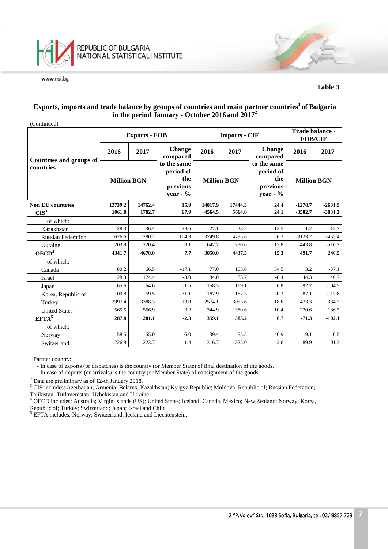

#### **Table 3**

#### **Exports, imports and trade balance by groups of countries and main partner countries1 of Bulgaria in the period January - October 2016 and 20172**

| (Continued)                                 |                    |                      |                                                            |                    |                      |                                                         |                    |           |
|---------------------------------------------|--------------------|----------------------|------------------------------------------------------------|--------------------|----------------------|---------------------------------------------------------|--------------------|-----------|
|                                             |                    | <b>Exports - FOB</b> |                                                            |                    | <b>Imports - CIF</b> | Trade balance -<br><b>FOB/CIF</b>                       |                    |           |
|                                             | 2016               | 2017                 | <b>Change</b><br>compared                                  | 2016               | 2017                 | <b>Change</b><br>compared                               | 2016               | 2017      |
| <b>Countries and groups of</b><br>countries | <b>Million BGN</b> |                      | to the same<br>period of<br>the<br>previous<br>year - $\%$ | <b>Million BGN</b> |                      | to the same<br>period of<br>the<br>previous<br>year - % | <b>Million BGN</b> |           |
| <b>Non EU countries</b>                     | 12739.2            | 14762.4              | 15.9                                                       | 14017.9            | 17444.3              | 24.4                                                    | $-1278.7$          | $-2681.9$ |
| CIS <sup>3</sup>                            | 1061.8             | 1782.7               | 67.9                                                       | 4564.5             | 5664.0               | 24.1                                                    | $-3502.7$          | $-3881.3$ |
| of which:                                   |                    |                      |                                                            |                    |                      |                                                         |                    |           |
| Kazakhstan                                  | 28.3               | 36.4                 | 28.6                                                       | 27.1               | 23.7                 | $-12.5$                                                 | 1.2                | 12.7      |
| <b>Russian Federation</b>                   | 626.6              | 1280.2               | 104.3                                                      | 3749.8             | 4735.6               | 26.3                                                    | $-3123.2$          | $-3455.4$ |
| Ukraine                                     | 203.9              | 220.4                | 8.1                                                        | 647.7              | 730.6                | 12.8                                                    | $-443.8$           | $-510.2$  |
| OECD <sup>4</sup>                           | 4341.7             | 4678.0               | 7.7                                                        | 3850.0             | 4437.5               | 15.3                                                    | 491.7              | 240.5     |
| of which:                                   |                    |                      |                                                            |                    |                      |                                                         |                    |           |
| Canada                                      | 80.2               | 66.5                 | $-17.1$                                                    | 77.0               | 103.6                | 34.5                                                    | 3.2                | $-37.1$   |
| Israel                                      | 128.3              | 124.4                | $-3.0$                                                     | 84.0               | 83.7                 | $-0.4$                                                  | 44.3               | 40.7      |
| Japan                                       | 65.6               | 64.6                 | $-1.5$                                                     | 158.3              | 169.1                | 6.8                                                     | $-92.7$            | $-104.5$  |
| Korea, Republic of                          | 100.8              | 69.5                 | $-31.1$                                                    | 187.9              | 187.3                | $-0.3$                                                  | $-87.1$            | $-117.8$  |
| Turkey                                      | 2997.4             | 3388.3               | 13.0                                                       | 2574.1             | 3053.6               | 18.6                                                    | 423.3              | 334.7     |
| <b>United States</b>                        | 565.5              | 566.9                | 0.2                                                        | 344.9              | 380.6                | 10.4                                                    | 220.6              | 186.3     |
| $EFTA^5$                                    | 287.8              | 281.1                | $-2.3$                                                     | 359.1              | 383.2                | 6.7                                                     | $-71.3$            | $-102.1$  |
| of which:                                   |                    |                      |                                                            |                    |                      |                                                         |                    |           |
| Norway                                      | 58.5               | 55.0                 | $-6.0$                                                     | 39.4               | 55.5                 | 40.9                                                    | 19.1               | $-0.5$    |
| Switzerland                                 | 226.8              | 223.7                | $-1.4$                                                     | 316.7              | 325.0                | 2.6                                                     | $-89.9$            | $-101.3$  |

<sup>1</sup> Partner country:

- In case of exports (or dispatches) is the country (or Member State) of final destination of the goods.

- In case of imports (or arrivals) is the country (or Member State) of consignment of the goods.

<sup>2</sup> Data are preliminary as of 12-th January 2018.<br><sup>3</sup> CIS includes: Azerbaijan; Armenia; Belarus; Kazakhstan; Kyrgyz Republic; Moldova, Republic of; Russian Federation; Tajikistan; Turkmenistan; Uzbekistan and Ukraine.

<sup>4</sup> OECD includes: Australia; Virgin Islands (US); United States; Iceland; Canada; Mexico; New Zealand; Norway; Korea, Republic of; Turkey; Switzerland; Japan; Israel and Chile.

<sup>5</sup> EFTA includes: Norway; Switzerland; Iceland and Liechtenstein.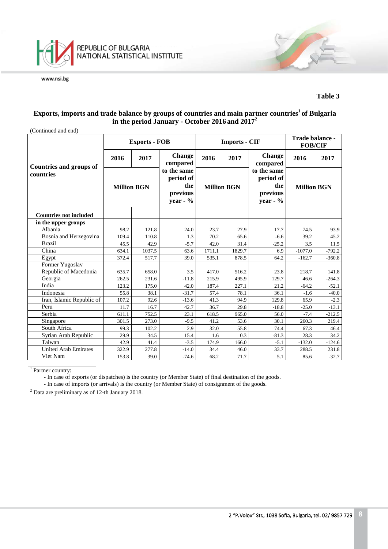

#### **Table 3**

#### **Exports, imports and trade balance by groups of countries and main partner countries1 of Bulgaria in the period January - October 2016 and 20172**

| (Continued and end)                         |                    |                      |                                                           |        |                      |                                                            |                    |          |
|---------------------------------------------|--------------------|----------------------|-----------------------------------------------------------|--------|----------------------|------------------------------------------------------------|--------------------|----------|
|                                             |                    | <b>Exports - FOB</b> |                                                           |        | <b>Imports - CIF</b> | Trade balance -<br><b>FOB/CIF</b>                          |                    |          |
|                                             | 2016               | 2017                 | <b>Change</b><br>compared                                 | 2016   | 2017                 | <b>Change</b><br>compared                                  | 2016               | 2017     |
| <b>Countries and groups of</b><br>countries | <b>Million BGN</b> |                      | to the same<br>period of<br>the<br>previous<br>year - $%$ |        | <b>Million BGN</b>   | to the same<br>period of<br>the<br>previous<br>year - $\%$ | <b>Million BGN</b> |          |
| <b>Countries not included</b>               |                    |                      |                                                           |        |                      |                                                            |                    |          |
| in the upper groups                         |                    |                      |                                                           |        |                      |                                                            |                    |          |
| Albania                                     | 98.2               | 121.8                | 24.0                                                      | 23.7   | 27.9                 | 17.7                                                       | 74.5               | 93.9     |
| Bosnia and Herzegovina                      | 109.4              | 110.8                | 1.3                                                       | 70.2   | 65.6                 | $-6.6$                                                     | 39.2               | 45.2     |
| <b>Brazil</b>                               | 45.5               | 42.9                 | $-5.7$                                                    | 42.0   | 31.4                 | $-25.2$                                                    | 3.5                | 11.5     |
| China                                       | 634.1              | 1037.5               | 63.6                                                      | 1711.1 | 1829.7               | 6.9                                                        | $-1077.0$          | $-792.2$ |
| Egypt                                       | 372.4              | 517.7                | 39.0                                                      | 535.1  | 878.5                | 64.2                                                       | $-162.7$           | $-360.8$ |
| Former Yugoslav                             |                    |                      |                                                           |        |                      |                                                            |                    |          |
| Republic of Macedonia                       | 635.7              | 658.0                | 3.5                                                       | 417.0  | 516.2                | 23.8                                                       | 218.7              | 141.8    |
| Georgia                                     | 262.5              | 231.6                | $-11.8$                                                   | 215.9  | 495.9                | 129.7                                                      | 46.6               | $-264.3$ |
| India                                       | 123.2              | 175.0                | 42.0                                                      | 187.4  | 227.1                | 21.2                                                       | $-64.2$            | $-52.1$  |
| Indonesia                                   | 55.8               | 38.1                 | $-31.7$                                                   | 57.4   | 78.1                 | 36.1                                                       | $-1.6$             | $-40.0$  |
| Iran, Islamic Republic of                   | 107.2              | 92.6                 | $-13.6$                                                   | 41.3   | 94.9                 | 129.8                                                      | 65.9               | $-2.3$   |
| Peru                                        | 11.7               | 16.7                 | 42.7                                                      | 36.7   | 29.8                 | $-18.8$                                                    | $-25.0$            | $-13.1$  |
| Serbia                                      | 611.1              | 752.5                | 23.1                                                      | 618.5  | 965.0                | 56.0                                                       | $-7.4$             | $-212.5$ |
| Singapore                                   | 301.5              | 273.0                | $-9.5$                                                    | 41.2   | 53.6                 | 30.1                                                       | 260.3              | 219.4    |
| South Africa                                | 99.3               | 102.2                | 2.9                                                       | 32.0   | 55.8                 | 74.4                                                       | 67.3               | 46.4     |
| Syrian Arab Republic                        | 29.9               | 34.5                 | 15.4                                                      | 1.6    | 0.3                  | $-81.3$                                                    | 28.3               | 34.2     |
| Taiwan                                      | 42.9               | 41.4                 | $-3.5$                                                    | 174.9  | 166.0                | $-5.1$                                                     | $-132.0$           | $-124.6$ |
| <b>United Arab Emirates</b>                 | 322.9              | 277.8                | $-14.0$                                                   | 34.4   | 46.0                 | 33.7                                                       | 288.5              | 231.8    |
| Viet Nam<br>153.8                           |                    | 39.0                 | $-74.6$                                                   | 68.2   | 71.7                 | 5.1                                                        | 85.6               | $-32.7$  |

<sup>1</sup> Partner country:

- In case of exports (or dispatches) is the country (or Member State) of final destination of the goods.

- In case of imports (or arrivals) is the country (or Member State) of consignment of the goods.

<sup>2</sup> Data are preliminary as of 12-th January 2018.